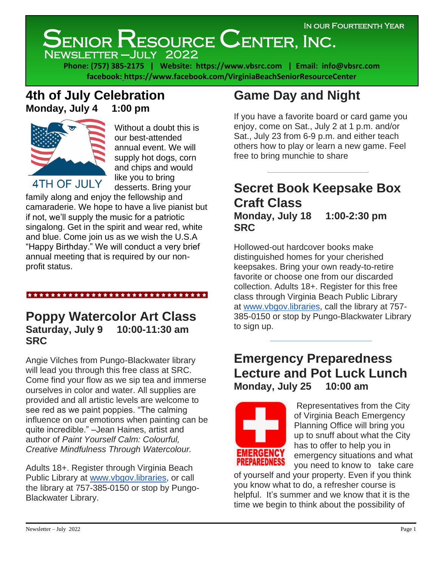# SENIOR RESOURCE CENTER, INC.

Newsletter –July 2022

**Phone: (757) 385-2175 | Website: https:/[/www.vbsrc.com](http://www.vbsrc.com/) | Email: [info@vbsrc.com](mailto:info@vbsrc.com) facebook: https://www.facebook.com/VirginiaBeachSeniorResourceCenter**

## **4th of July Celebration Monday, July 4 1:00 pm**



Without a doubt this is our best-attended annual event. We will supply hot dogs, corn and chips and would like you to bring desserts. Bring your

family along and enjoy the fellowship and camaraderie. We hope to have a live pianist but if not, we'll supply the music for a patriotic singalong. Get in the spirit and wear red, white and blue. Come join us as we wish the U.S.A "Happy Birthday." We will conduct a very brief annual meeting that is required by our nonprofit status.

#### \*\*\*\*\*\*\*\*\*\*\*\*\*\*\*\*\*\*\*\*\*\*\*\*\*\*\*\*\*\*

### **Poppy Watercolor Art Class Saturday, July 9 10:00-11:30 am SRC**

Angie Vilches from Pungo-Blackwater library will lead you through this free class at SRC. Come find your flow as we sip tea and immerse ourselves in color and water. All supplies are provided and all artistic levels are welcome to see red as we paint poppies. "The calming influence on our emotions when painting can be quite incredible." –Jean Haines, artist and author of *Paint Yourself Calm: Colourful, Creative Mindfulness Through Watercolour.*

Adults 18+. Register through Virginia Beach Public Library at [www.vbgov.libraries,](http://www.vbgov.libraries/) or call the library at 757-385-0150 or stop by Pungo-Blackwater Library.

## **Game Day and Night**

If you have a favorite board or card game you enjoy, come on Sat., July 2 at 1 p.m. and/or Sat., July 23 from 6-9 p.m. and either teach others how to play or learn a new game. Feel free to bring munchie to share

## **Secret Book Keepsake Box Craft Class Monday, July 18 1:00-2:30 pm SRC**

Hollowed-out hardcover books make distinguished homes for your cherished keepsakes. Bring your own ready-to-retire favorite or choose one from our discarded collection. Adults 18+. Register for this free class through Virginia Beach Public Library at [www.vbgov.libraries,](http://www.vbgov.libraries/) call the library at 757- 385-0150 or stop by Pungo-Blackwater Library to sign up.

## **Emergency Preparedness Lecture and Pot Luck Lunch Monday, July 25 10:00 am**



Representatives from the City of Virginia Beach Emergency Planning Office will bring you up to snuff about what the City has to offer to help you in emergency situations and what you need to know to take care

of yourself and your property. Even if you think you know what to do, a refresher course is helpful. It's summer and we know that it is the time we begin to think about the possibility of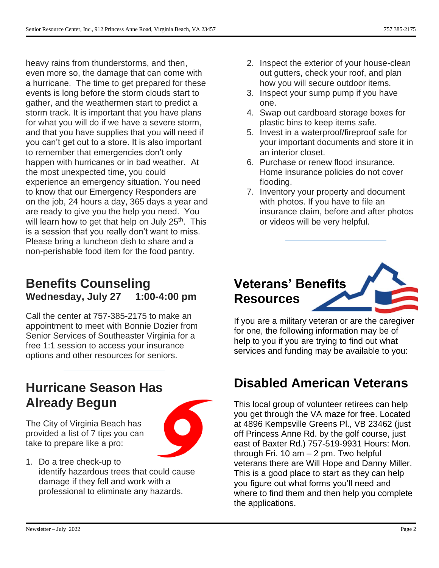heavy rains from thunderstorms, and then, even more so, the damage that can come with a hurricane. The time to get prepared for these events is long before the storm clouds start to gather, and the weathermen start to predict a storm track. It is important that you have plans for what you will do if we have a severe storm, and that you have supplies that you will need if you can't get out to a store. It is also important to remember that emergencies don't only happen with hurricanes or in bad weather. At the most unexpected time, you could experience an emergency situation. You need to know that our Emergency Responders are on the job, 24 hours a day, 365 days a year and are ready to give you the help you need. You will learn how to get that help on July 25<sup>th</sup>. This is a session that you really don't want to miss. Please bring a luncheon dish to share and a non-perishable food item for the food pantry.

## **Benefits Counseling Wednesday, July 27 1:00-4:00 pm**

Call the center at 757-385-2175 to make an appointment to meet with Bonnie Dozier from Senior Services of Southeaster Virginia for a free 1:1 session to access your insurance options and other resources for seniors.

## **Hurricane Season Has Already Begun**

The City of Virginia Beach has provided a list of 7 tips you can take to prepare like a pro:



1. Do a tree check-up to identify hazardous trees that could cause damage if they fell and work with a professional to eliminate any hazards.

- 2. Inspect the exterior of your house-clean out gutters, check your roof, and plan how you will secure outdoor items.
- 3. Inspect your sump pump if you have one.
- 4. Swap out cardboard storage boxes for plastic bins to keep items safe.
- 5. Invest in a waterproof/fireproof safe for your important documents and store it in an interior closet.
- 6. Purchase or renew flood insurance. Home insurance policies do not cover flooding.
- 7. Inventory your property and document with photos. If you have to file an insurance claim, before and after photos or videos will be very helpful.

## **Veterans' Benefits Resources**

If you are a military veteran or are the caregiver for one, the following information may be of help to you if you are trying to find out what services and funding may be available to you:

## **Disabled American Veterans**

This local group of volunteer retirees can help you get through the VA maze for free. Located at 4896 Kempsville Greens Pl., VB 23462 (just off Princess Anne Rd. by the golf course, just east of Baxter Rd.) 757-519-9931 Hours: Mon. through Fri. 10 am – 2 pm. Two helpful veterans there are Will Hope and Danny Miller. This is a good place to start as they can help you figure out what forms you'll need and where to find them and then help you complete the applications.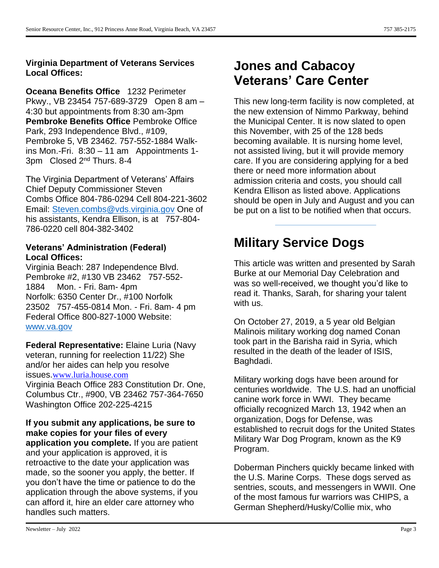#### **Virginia Department of Veterans Services Local Offices:**

**Oceana Benefits Office** 1232 Perimeter Pkwy., VB 23454 757-689-3729 Open 8 am – 4:30 but appointments from 8:30 am-3pm **Pembroke Benefits Office** Pembroke Office Park, 293 Independence Blvd., #109, Pembroke 5, VB 23462. 757-552-1884 Walkins Mon.-Fri. 8:30 – 11 am Appointments 1- 3pm Closed 2nd Thurs. 8-4

The Virginia Department of Veterans' Affairs Chief Deputy Commissioner Steven Combs Office 804-786-0294 Cell 804-221-3602 Email: [Steven.combs@vds.virginia.gov](mailto:Steven.combs@vds.virginia.gov) One of his assistants, Kendra Ellison, is at 757-804- 786-0220 cell 804-382-3402

#### **Veterans' Administration (Federal) Local Offices:**

Virginia Beach: 287 Independence Blvd. Pembroke #2, #130 VB 23462 757-552- 1884 Mon. - Fri. 8am- 4pm Norfolk: 6350 Center Dr., #100 Norfolk 23502 757-455-0814 Mon. - Fri. 8am- 4 pm Federal Office 800-827-1000 Website: [www.va.gov](http://www.va.gov/)

**Federal Representative:** Elaine Luria (Navy veteran, running for reelection 11/22) She and/or her aides can help you resolve issues.[www.luria.house.com](http://www.luria.house.com/)

Virginia Beach Office 283 Constitution Dr. One, Columbus Ctr., #900, VB 23462 757-364-7650 Washington Office 202-225-4215

**If you submit any applications, be sure to make copies for your files of every application you complete.** If you are patient and your application is approved, it is retroactive to the date your application was made, so the sooner you apply, the better. If you don't have the time or patience to do the application through the above systems, if you can afford it, hire an elder care attorney who handles such matters.

## **Jones and Cabacoy Veterans' Care Center**

This new long-term facility is now completed, at the new extension of Nimmo Parkway, behind the Municipal Center. It is now slated to open this November, with 25 of the 128 beds becoming available. It is nursing home level, not assisted living, but it will provide memory care. If you are considering applying for a bed there or need more information about admission criteria and costs, you should call Kendra Ellison as listed above. Applications should be open in July and August and you can be put on a list to be notified when that occurs.

## **Military Service Dogs**

This article was written and presented by Sarah Burke at our Memorial Day Celebration and was so well-received, we thought you'd like to read it. Thanks, Sarah, for sharing your talent with us.

On October 27, 2019, a 5 year old Belgian Malinois military working dog named Conan took part in the Barisha raid in Syria, which resulted in the death of the leader of ISIS, Baghdadi.

Military working dogs have been around for centuries worldwide. The U.S. had an unofficial canine work force in WWI. They became officially recognized March 13, 1942 when an organization, Dogs for Defense, was established to recruit dogs for the United States Military War Dog Program, known as the K9 Program.

Doberman Pinchers quickly became linked with the U.S. Marine Corps. These dogs served as sentries, scouts, and messengers in WWII. One of the most famous fur warriors was CHIPS, a German Shepherd/Husky/Collie mix, who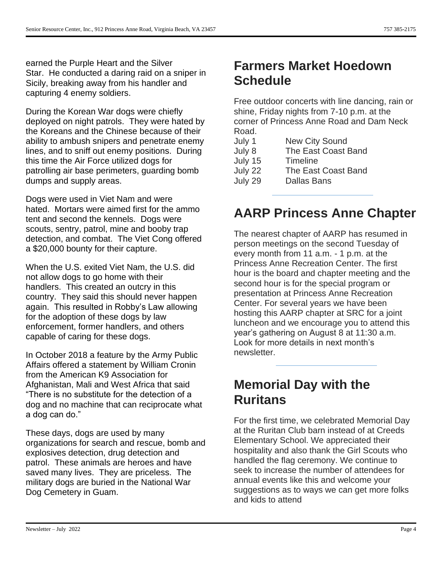earned the Purple Heart and the Silver Star. He conducted a daring raid on a sniper in Sicily, breaking away from his handler and capturing 4 enemy soldiers.

During the Korean War dogs were chiefly deployed on night patrols. They were hated by the Koreans and the Chinese because of their ability to ambush snipers and penetrate enemy lines, and to sniff out enemy positions. During this time the Air Force utilized dogs for patrolling air base perimeters, guarding bomb dumps and supply areas.

Dogs were used in Viet Nam and were hated. Mortars were aimed first for the ammo tent and second the kennels. Dogs were scouts, sentry, patrol, mine and booby trap detection, and combat. The Viet Cong offered a \$20,000 bounty for their capture.

When the U.S. exited Viet Nam, the U.S. did not allow dogs to go home with their handlers. This created an outcry in this country. They said this should never happen again. This resulted in Robby's Law allowing for the adoption of these dogs by law enforcement, former handlers, and others capable of caring for these dogs.

In October 2018 a feature by the Army Public Affairs offered a statement by William Cronin from the American K9 Association for Afghanistan, Mali and West Africa that said "There is no substitute for the detection of a dog and no machine that can reciprocate what a dog can do."

These days, dogs are used by many organizations for search and rescue, bomb and explosives detection, drug detection and patrol. These animals are heroes and have saved many lives. They are priceless. The military dogs are buried in the National War Dog Cemetery in Guam.

## **Farmers Market Hoedown Schedule**

Free outdoor concerts with line dancing, rain or shine, Friday nights from 7-10 p.m. at the corner of Princess Anne Road and Dam Neck Road.

| July 1  | <b>New City Sound</b> |
|---------|-----------------------|
| July 8  | The East Coast Band   |
| July 15 | Timeline              |
| July 22 | The East Coast Band   |
| July 29 | <b>Dallas Bans</b>    |
|         |                       |

## **AARP Princess Anne Chapter**

The nearest chapter of AARP has resumed in person meetings on the second Tuesday of every month from 11 a.m. - 1 p.m. at the Princess Anne Recreation Center. The first hour is the board and chapter meeting and the second hour is for the special program or presentation at Princess Anne Recreation Center. For several years we have been hosting this AARP chapter at SRC for a joint luncheon and we encourage you to attend this year's gathering on August 8 at 11:30 a.m. Look for more details in next month's newsletter.

## **Memorial Day with the Ruritans**

For the first time, we celebrated Memorial Day at the Ruritan Club barn instead of at Creeds Elementary School. We appreciated their hospitality and also thank the Girl Scouts who handled the flag ceremony. We continue to seek to increase the number of attendees for annual events like this and welcome your suggestions as to ways we can get more folks and kids to attend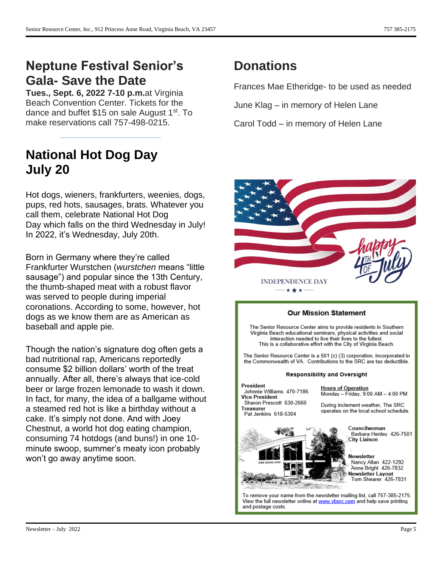## **Neptune Festival Senior's Gala- Save the Date**

**Tues., Sept. 6, 2022 7-10 p.m.**at Virginia Beach Convention Center. Tickets for the dance and buffet \$15 on sale August 1st. To make reservations call 757-498-0215.

## **National Hot Dog Day July 20**

Hot dogs, wieners, frankfurters, weenies, dogs, pups, red hots, sausages, brats. Whatever you call them, celebrate National Hot Dog Day which falls on the third Wednesday in July! In 2022, it's Wednesday, July 20th.

Born in Germany where they're called Frankfurter Wurstchen (*wurstchen* means "little sausage") and popular since the 13th Century, the thumb-shaped meat with a robust flavor was served to people during imperial coronations. According to some, however, hot dogs as we know them are as American as baseball and apple pie.

Though the nation's signature dog often gets a bad nutritional rap, Americans reportedly consume \$2 billion dollars' worth of the treat annually. After all, there's always that ice-cold beer or large frozen lemonade to wash it down. In fact, for many, the idea of a ballgame without a steamed red hot is like a birthday without a cake. It's simply not done. And with Joey Chestnut, a world hot dog eating champion, consuming 74 hotdogs (and buns!) in one 10 minute swoop, summer's meaty icon probably won't go away anytime soon.

## **Donations**

Frances Mae Etheridge- to be used as needed

June Klag – in memory of Helen Lane

Carol Todd – in memory of Helen Lane



#### **Our Mission Statement** The Senior Resource Center aims to provide residents in Southern Virginia Beach educational seminars, physical activities and social interaction needed to live their lives to the fullest. This is a collaborative effort with the City of Virginia Beach. The Senior Resource Center is a 501 (c) (3) corporation, incorporated in the Commonwealth of VA. Contributions to the SRC are tax deductible. Responsibility and Oversight President **Hours of Operation** Johnnie Williams 470-7186 Monday - Friday, 9:00 AM - 4:00 PM **Vice President** Sharon Prescott 630-2660 During inclement weather, The SRC Treasurer operates on the local school schedule. Pat Jenkins 618-5304 Councilwoman Barbara Henley 426-7501 City Liaison Newsletter Nancy Allan 422-1292 Anne Bright 426-7832 Newsletter Layout Tom Shearer 426-7831 To remove your name from the newsletter mailing list, call 757-385-2175. View the full newsletter online at www.vbsrc.com and help save printing and postage costs.